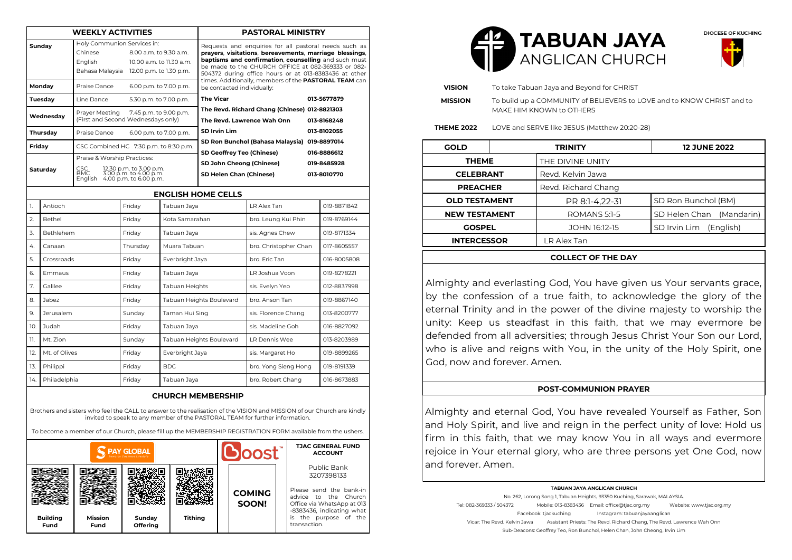| <b>WEEKLY ACTIVITIES</b>                                                                                                                                                                                                           |                  |                                                                                                                                                    |          |                          | <b>PASTORAL MINISTRY</b>                                                                                                                                                                                                                                                                                                                                                       |                       |  |                                           |  |  |
|------------------------------------------------------------------------------------------------------------------------------------------------------------------------------------------------------------------------------------|------------------|----------------------------------------------------------------------------------------------------------------------------------------------------|----------|--------------------------|--------------------------------------------------------------------------------------------------------------------------------------------------------------------------------------------------------------------------------------------------------------------------------------------------------------------------------------------------------------------------------|-----------------------|--|-------------------------------------------|--|--|
| Sunday                                                                                                                                                                                                                             |                  | Holy Communion Services in:<br>Chinese<br>8.00 a.m. to 9.30 a.m.<br>English<br>10.00 a.m. to 11.30 a.m.<br>Bahasa Malaysia 12.00 p.m. to 1.30 p.m. |          |                          | Requests and enquiries for all pastoral needs such as<br>prayers, visitations, bereavements, marriage blessings,<br>baptisms and confirmation, counselling and such must<br>be made to the CHURCH OFFICE at 082-369333 or 082-<br>504372 during office hours or at 013-8383436 at other<br>times. Additionally, members of the PASTORAL TEAM can<br>be contacted individually: |                       |  |                                           |  |  |
| Monday                                                                                                                                                                                                                             |                  | Praise Dance<br>6.00 p.m. to 7.00 p.m.                                                                                                             |          |                          |                                                                                                                                                                                                                                                                                                                                                                                |                       |  |                                           |  |  |
| Tuesday                                                                                                                                                                                                                            |                  | Line Dance                                                                                                                                         |          | 5.30 p.m. to 7.00 p.m.   | <b>The Vicar</b><br>013-5677879                                                                                                                                                                                                                                                                                                                                                |                       |  |                                           |  |  |
| Wednesdav                                                                                                                                                                                                                          |                  | Prayer Meeting<br>7.45 p.m. to 9.00 p.m.<br>(First and Second Wednesdays only)                                                                     |          |                          | The Revd. Richard Chang (Chinese) 012-8821303<br>The Revd. Lawrence Wah Onn<br>013-8168248<br>SD Irvin Lim<br>013-8102055                                                                                                                                                                                                                                                      |                       |  |                                           |  |  |
| Thursday                                                                                                                                                                                                                           |                  | Praise Dance<br>6.00 p.m. to 7.00 p.m.                                                                                                             |          |                          |                                                                                                                                                                                                                                                                                                                                                                                |                       |  |                                           |  |  |
| Friday                                                                                                                                                                                                                             |                  | CSC Combined HC 7:30 p.m. to 8:30 p.m.                                                                                                             |          |                          | SD Ron Bunchol (Bahasa Malaysia) 019-8897014                                                                                                                                                                                                                                                                                                                                   |                       |  |                                           |  |  |
| Saturday                                                                                                                                                                                                                           |                  | Praise & Worship Practices:<br>CSC<br>BMC<br>12.30 p.m. to 3.00 p.m.<br>BMC 3.00 p.m. to 4.00 p.m.<br>English 4.00 p.m. to 6.00 p.m.               |          |                          | SD Geoffrey Teo (Chinese)<br>SD John Cheong (Chinese)<br>SD Helen Chan (Chinese)                                                                                                                                                                                                                                                                                               |                       |  | 016-8886612<br>019-8485928<br>013-8010770 |  |  |
| <b>ENGLISH HOME CELLS</b>                                                                                                                                                                                                          |                  |                                                                                                                                                    |          |                          |                                                                                                                                                                                                                                                                                                                                                                                |                       |  |                                           |  |  |
| 1.                                                                                                                                                                                                                                 | Antioch          |                                                                                                                                                    | Friday   | Tabuan Jaya              |                                                                                                                                                                                                                                                                                                                                                                                | LR Alex Tan           |  | 019-8871842                               |  |  |
| 2.                                                                                                                                                                                                                                 | Bethel           |                                                                                                                                                    | Friday   | Kota Samarahan           |                                                                                                                                                                                                                                                                                                                                                                                | bro. Leung Kui Phin   |  | 019-8769144                               |  |  |
| 3.                                                                                                                                                                                                                                 | <b>Bethlehem</b> |                                                                                                                                                    | Friday   | Tabuan Jaya              |                                                                                                                                                                                                                                                                                                                                                                                | sis. Agnes Chew       |  | 019-8171334                               |  |  |
| 4.                                                                                                                                                                                                                                 | Canaan           |                                                                                                                                                    | Thursday | Muara Tabuan             |                                                                                                                                                                                                                                                                                                                                                                                | bro. Christopher Chan |  | 017-8605557                               |  |  |
| 5.                                                                                                                                                                                                                                 | Crossroads       |                                                                                                                                                    | Friday   | Everbright Jaya          |                                                                                                                                                                                                                                                                                                                                                                                | bro. Eric Tan         |  | 016-8005808                               |  |  |
| 6.                                                                                                                                                                                                                                 | Emmaus           |                                                                                                                                                    | Friday   | Tabuan Jaya              |                                                                                                                                                                                                                                                                                                                                                                                | LR Joshua Voon        |  | 019-8278221                               |  |  |
| 7.                                                                                                                                                                                                                                 | Galilee          |                                                                                                                                                    | Friday   | Tabuan Heights           |                                                                                                                                                                                                                                                                                                                                                                                | sis. Evelyn Yeo       |  | 012-8837998                               |  |  |
| 8.                                                                                                                                                                                                                                 | Jabez            |                                                                                                                                                    | Friday   | Tabuan Heights Boulevard |                                                                                                                                                                                                                                                                                                                                                                                | bro. Anson Tan        |  | 019-8867140                               |  |  |
| 9.                                                                                                                                                                                                                                 | Jerusalem        |                                                                                                                                                    | Sunday   | Taman Hui Sing           |                                                                                                                                                                                                                                                                                                                                                                                | sis. Florence Chang   |  | 013-8200777                               |  |  |
| 10.                                                                                                                                                                                                                                | Judah            |                                                                                                                                                    | Friday   | Tabuan Jaya              |                                                                                                                                                                                                                                                                                                                                                                                | sis. Madeline Goh     |  | 016-8827092                               |  |  |
| 11.                                                                                                                                                                                                                                | Mt. Zion         |                                                                                                                                                    | Sunday   | Tabuan Heights Boulevard |                                                                                                                                                                                                                                                                                                                                                                                | LR Dennis Wee         |  | 013-8203989                               |  |  |
| 12.                                                                                                                                                                                                                                | Mt. of Olives    |                                                                                                                                                    | Friday   | Everbright Jaya          |                                                                                                                                                                                                                                                                                                                                                                                | sis. Margaret Ho      |  | 019-8899265                               |  |  |
| 13.                                                                                                                                                                                                                                | Philippi         |                                                                                                                                                    | Friday   | <b>BDC</b>               |                                                                                                                                                                                                                                                                                                                                                                                | bro. Yong Sieng Hong  |  | 019-8191339                               |  |  |
| 14.<br>Philadelphia<br>Friday                                                                                                                                                                                                      |                  | Tabuan Jaya                                                                                                                                        |          | bro. Robert Chang        |                                                                                                                                                                                                                                                                                                                                                                                | 016-8673883           |  |                                           |  |  |
| <b>CHURCH MEMBERSHIP</b><br>Brothers and sisters who feel the CALL to answer to the realisation of the VISION and MISSION of our Church are kindly<br>invited to speak to any member of the PASTORAL TEAM for further information. |                  |                                                                                                                                                    |          |                          |                                                                                                                                                                                                                                                                                                                                                                                |                       |  |                                           |  |  |

To become a member of our Church, please fill up the MEMBERSHIP REGISTRATION FORM available from the ushers.

| <b>PAY GLOBAL</b>       |                        |                    |                |  | <b>Doost</b>           |  | <b>TJAC GENERAL FUND</b><br><b>ACCOUNT</b>                                                                                                                                       |  |
|-------------------------|------------------------|--------------------|----------------|--|------------------------|--|----------------------------------------------------------------------------------------------------------------------------------------------------------------------------------|--|
| <b>Building</b><br>Fund | <b>Mission</b><br>Fund | Sunday<br>Offering | <b>Tithing</b> |  | <b>COMING</b><br>SOON! |  | Public Bank<br>3207398133<br>Please send the bank-in<br>advice to the Church<br>Office via WhatsApp at 013<br>-8383436, indicating what<br>is the purpose of the<br>transaction. |  |





| <b>VISION</b>        | To take Tabuan Jaya and Beyond for CHRIST    |                                                                                                    |                             |  |  |  |  |  |
|----------------------|----------------------------------------------|----------------------------------------------------------------------------------------------------|-----------------------------|--|--|--|--|--|
| <b>MISSION</b>       |                                              | To build up a COMMUNITY of BELIEVERS to LOVE and to KNOW CHRIST and to<br>MAKE HIM KNOWN to OTHERS |                             |  |  |  |  |  |
| <b>THEME 2022</b>    | LOVE and SERVE like JESUS (Matthew 20:20-28) |                                                                                                    |                             |  |  |  |  |  |
| <b>GOLD</b>          |                                              | <b>TRINITY</b>                                                                                     | <b>12 JUNE 2022</b>         |  |  |  |  |  |
| <b>THEME</b>         |                                              | THE DIVINE UNITY                                                                                   |                             |  |  |  |  |  |
| <b>CELEBRANT</b>     |                                              | Revd. Kelvin Jawa                                                                                  |                             |  |  |  |  |  |
| <b>PREACHER</b>      |                                              | Revd. Richard Chang                                                                                |                             |  |  |  |  |  |
| <b>OLD TESTAMENT</b> |                                              | PR 8:1-4.22-31                                                                                     | SD Ron Bunchol (BM)         |  |  |  |  |  |
| <b>NEW TESTAMENT</b> |                                              | ROMANS 5:1-5                                                                                       | SD Helen Chan<br>(Mandarin) |  |  |  |  |  |
| <b>GOSPEL</b>        |                                              | JOHN 16:12-15                                                                                      | SD Irvin Lim (English)      |  |  |  |  |  |
| <b>INTERCESSOR</b>   |                                              | LR Alex Tan                                                                                        |                             |  |  |  |  |  |
|                      |                                              |                                                                                                    |                             |  |  |  |  |  |

### **COLLECT OF THE DAY**

Almighty and everlasting God, You have given us Your servants grace, by the confession of a true faith, to acknowledge the glory of the eternal Trinity and in the power of the divine majesty to worship the unity: Keep us steadfast in this faith, that we may evermore be defended from all adversities; through Jesus Christ Your Son our Lord, who is alive and reigns with You, in the unity of the Holy Spirit, one God, now and forever. Amen.

### **POST-COMMUNION PRAYER**

Almighty and eternal God, You have revealed Yourself as Father, Son and Holy Spirit, and live and reign in the perfect unity of love: Hold us firm in this faith, that we may know You in all ways and evermore rejoice in Your eternal glory, who are three persons yet One God, now and forever. Amen.

#### **TABUAN JAYA ANGLICAN CHURCH**

No. 262, Lorong Song 1, Tabuan Heights, 93350 Kuching, Sarawak, MALAYSIA. Tel: 082-369333 / 504372 Mobile: 013-8383436 Email: office@tjac.org.my Website: www.tjac.org.my Facebook: tjackuching Instagram: tabuanjayaanglican Vicar: The Revd. Kelvin Jawa Assistant Priests: The Revd. Richard Chang, The Revd. Lawrence Wah Onn Sub-Deacons: Geoffrey Teo, Ron Bunchol, Helen Chan, John Cheong, Irvin Lim